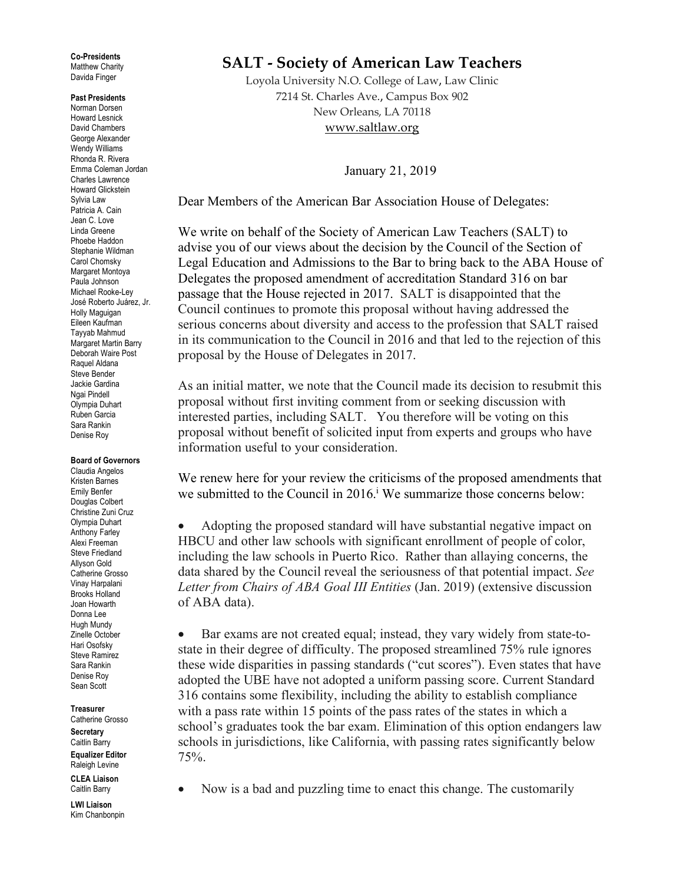**Co-Presidents** Matthew Charity Davida Finger

## **Past Presidents**

Norman Dorsen Howard Lesnick David Chambers George Alexander Wendy Williams Rhonda R. Rivera Emma Coleman Jordan Charles Lawrence Howard Glickstein Sylvia Law Patricia A. Cain Jean C. Love Linda Greene Phoebe Haddon Stephanie Wildman Carol Chomsky Margaret Montoya Paula Johnson Michael Rooke-Ley José Roberto Juárez, Jr. Holly Maguigan Eileen Kaufman Tayyab Mahmud Margaret Martin Barry Deborah Waire Post Raquel Aldana Steve Bender Jackie Gardina Ngai Pindell Olympia Duhart Ruben Garcia Sara Rankin Denise Roy

## **Board of Governors**

Claudia Angelos Kristen Barnes Emily Benfer Douglas Colbert Christine Zuni Cruz Olympia Duhart Anthony Farley Alexi Freeman Steve Friedland Allyson Gold Catherine Grosso Vinay Harpalani Brooks Holland Joan Howarth Donna Lee Hugh Mundy Zinelle October Hari Osofsky Steve Ramirez Sara Rankin Denise Roy Sean Scott

**Treasurer** Catherine Grosso **Secretary** Caitlin Barry **Equalizer Editor**

Raleigh Levine

**CLEA Liaison** Caitlin Barry

**LWI Liaison** Kim Chanbonpin

## **SALT - Society of American Law Teachers**

Loyola University N.O. College of Law, Law Clinic 7214 St. Charles Ave., Campus Box 902 New Orleans, LA 70118 www.saltlaw.org

January 21, 2019

Dear Members of the American Bar Association House of Delegates:

We write on behalf of the Society of American Law Teachers (SALT) to advise you of our views about the decision by the Council of the Section of Legal Education and Admissions to the Bar to bring back to the ABA House of Delegates the proposed amendment of accreditation Standard 316 on bar passage that the House rejected in 2017. SALT is disappointed that the Council continues to promote this proposal without having addressed the serious concerns about diversity and access to the profession that SALT raised in its communication to the Council in 2016 and that led to the rejection of this proposal by the House of Delegates in 2017.

As an initial matter, we note that the Council made its decision to resubmit this proposal without first inviting comment from or seeking discussion with interested parties, including SALT. You therefore will be voting on this proposal without benefit of solicited input from experts and groups who have information useful to your consideration.

We renew here for your review the criticisms of the proposed amendments that we submitted to the Council in 2016.<sup>i</sup> We summarize those concerns below:

• Adopting the proposed standard will have substantial negative impact on HBCU and other law schools with significant enrollment of people of color, including the law schools in Puerto Rico. Rather than allaying concerns, the data shared by the Council reveal the seriousness of that potential impact. *See Letter from Chairs of ABA Goal III Entities* (Jan. 2019) (extensive discussion of ABA data).

• Bar exams are not created equal; instead, they vary widely from state-tostate in their degree of difficulty. The proposed streamlined 75% rule ignores these wide disparities in passing standards ("cut scores"). Even states that have adopted the UBE have not adopted a uniform passing score. Current Standard 316 contains some flexibility, including the ability to establish compliance with a pass rate within 15 points of the pass rates of the states in which a school's graduates took the bar exam. Elimination of this option endangers law schools in jurisdictions, like California, with passing rates significantly below 75%.

• Now is a bad and puzzling time to enact this change. The customarily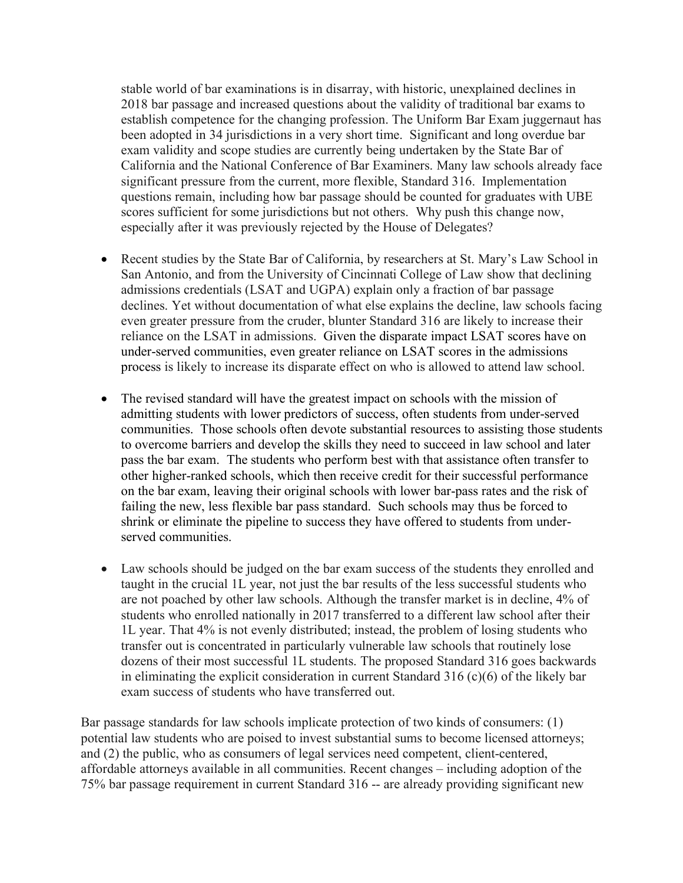stable world of bar examinations is in disarray, with historic, unexplained declines in 2018 bar passage and increased questions about the validity of traditional bar exams to establish competence for the changing profession. The Uniform Bar Exam juggernaut has been adopted in 34 jurisdictions in a very short time. Significant and long overdue bar exam validity and scope studies are currently being undertaken by the State Bar of California and the National Conference of Bar Examiners. Many law schools already face significant pressure from the current, more flexible, Standard 316. Implementation questions remain, including how bar passage should be counted for graduates with UBE scores sufficient for some jurisdictions but not others. Why push this change now, especially after it was previously rejected by the House of Delegates?

- Recent studies by the State Bar of California, by researchers at St. Mary's Law School in San Antonio, and from the University of Cincinnati College of Law show that declining admissions credentials (LSAT and UGPA) explain only a fraction of bar passage declines. Yet without documentation of what else explains the decline, law schools facing even greater pressure from the cruder, blunter Standard 316 are likely to increase their reliance on the LSAT in admissions. Given the disparate impact LSAT scores have on under-served communities, even greater reliance on LSAT scores in the admissions process is likely to increase its disparate effect on who is allowed to attend law school.
- The revised standard will have the greatest impact on schools with the mission of admitting students with lower predictors of success, often students from under-served communities. Those schools often devote substantial resources to assisting those students to overcome barriers and develop the skills they need to succeed in law school and later pass the bar exam. The students who perform best with that assistance often transfer to other higher-ranked schools, which then receive credit for their successful performance on the bar exam, leaving their original schools with lower bar-pass rates and the risk of failing the new, less flexible bar pass standard. Such schools may thus be forced to shrink or eliminate the pipeline to success they have offered to students from underserved communities.
- Law schools should be judged on the bar exam success of the students they enrolled and taught in the crucial 1L year, not just the bar results of the less successful students who are not poached by other law schools. Although the transfer market is in decline, 4% of students who enrolled nationally in 2017 transferred to a different law school after their 1L year. That 4% is not evenly distributed; instead, the problem of losing students who transfer out is concentrated in particularly vulnerable law schools that routinely lose dozens of their most successful 1L students. The proposed Standard 316 goes backwards in eliminating the explicit consideration in current Standard 316 (c)(6) of the likely bar exam success of students who have transferred out.

Bar passage standards for law schools implicate protection of two kinds of consumers: (1) potential law students who are poised to invest substantial sums to become licensed attorneys; and (2) the public, who as consumers of legal services need competent, client-centered, affordable attorneys available in all communities. Recent changes – including adoption of the 75% bar passage requirement in current Standard 316 -- are already providing significant new